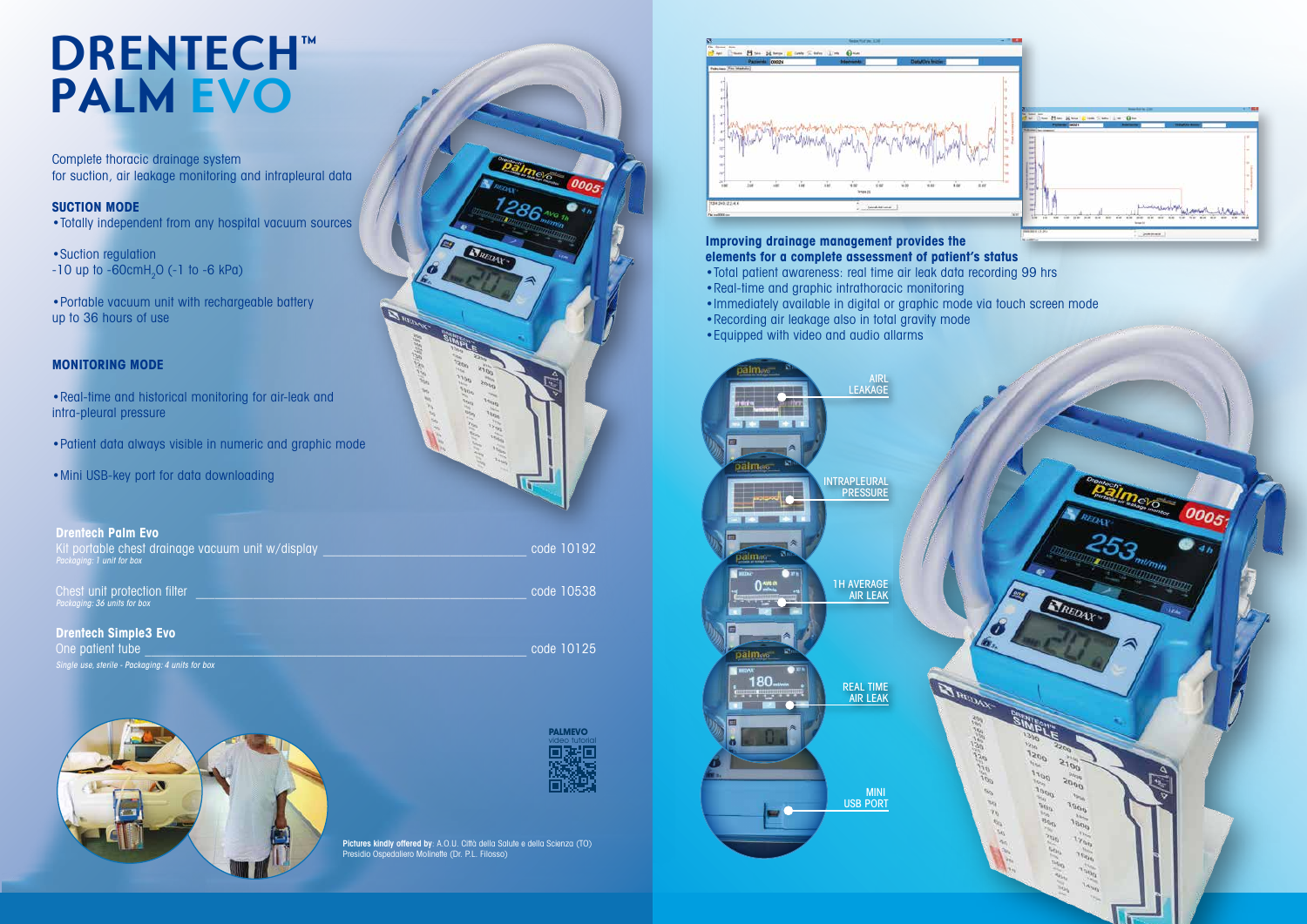## **DRENTECH™ PALM EVO**

Complete thoracic drainage system for suction, air leakage monitoring and intrapleural data

•Suction regulation -10 up to -60 $\mathsf{cmH}_2$ O (-1 to -6 kPa)

#### **SUCTION MODE**

•Totally independent from any hospital vacuum sources

•Portable vacuum unit with rechargeable battery up to 36 hours of use

#### **MONITORING MODE**

•Real-time and historical monitoring for air-leak and intra-pleural pressure

- •Patient data always visible in numeric and graphic mode
- •Mini USB-key port for data downloading



Pictures kindly offered by: A.O.U. Città della Salute e della Scienza (TO) Presidio Ospedaliero Molinette (Dr. P.L. Filosso)

## **elements for a complete assessment of patient's status**

- •Total patient awareness: real time air leak data recording 99 hrs
- •Real-time and graphic intrathoracic monitoring
- •Immediately available in digital or graphic mode via touch screen mode
- 
- 



| <b>Drentech Palm Evo.</b><br>Kit portable chest drainage vacuum unit w/display<br>Packaging: 1 unit for box | code 10192 |
|-------------------------------------------------------------------------------------------------------------|------------|
| Chest unit protection filter<br>Packaging: 36 units for box                                                 | code 10538 |
| <b>Drentech Simple3 Evo</b><br>One patient tube<br>Single use, sterile - Packaging: 4 units for box         | code 10125 |